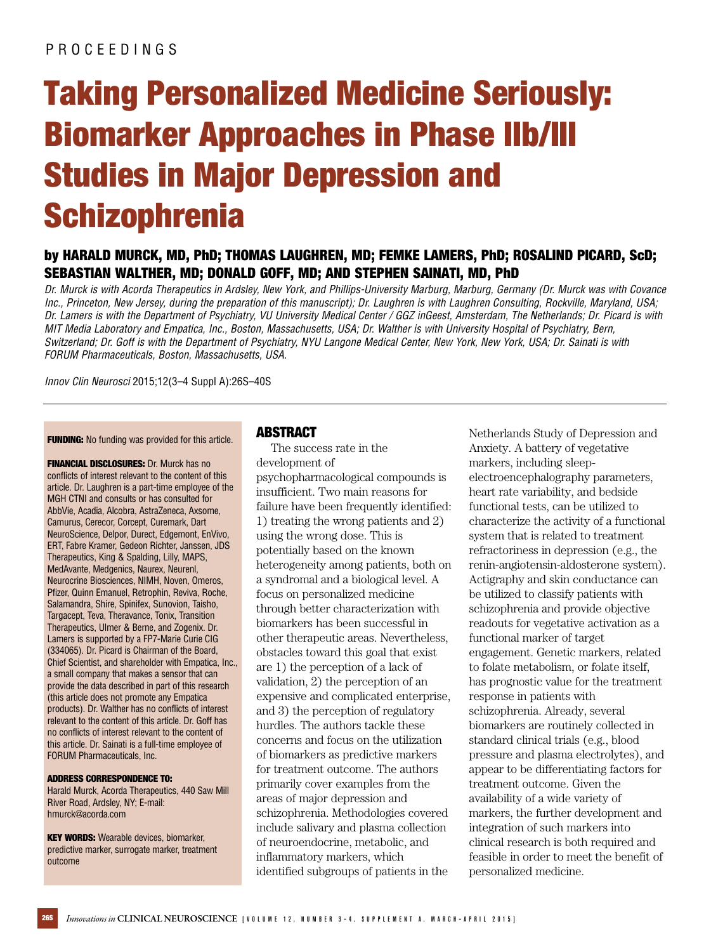# Taking Personalized Medicine Seriously: Biomarker Approaches in Phase IIb/III Studies in Major Depression and **Schizophrenia**

# by HARALD MURCK, MD, PhD; THOMAS LAUGHREN, MD; FEMKE LAMERS, PhD; ROSALIND PICARD, ScD; SEBASTIAN WALTHER, MD; DONALD GOFF, MD; AND STEPHEN SAINATI, MD, PhD

Dr. Murck is with Acorda Therapeutics in Ardsley, New York, and Phillips-University Marburg, Marburg, Germany (Dr. Murck was with Covance Inc., Princeton, New Jersey, during the preparation of this manuscript); Dr. Laughren is with Laughren Consulting, Rockville, Maryland, USA; Dr. Lamers is with the Department of Psychiatry, VU University Medical Center / GGZ inGeest, Amsterdam, The Netherlands; Dr. Picard is with MIT Media Laboratory and Empatica, Inc., Boston, Massachusetts, USA; Dr. Walther is with University Hospital of Psychiatry, Bern, Switzerland; Dr. Goff is with the Department of Psychiatry, NYU Langone Medical Center, New York, New York, USA; Dr. Sainati is with FORUM Pharmaceuticals, Boston, Massachusetts, USA.

Innov Clin Neurosci 2015;12(3–4 Suppl A):26S–40S

**FUNDING:** No funding was provided for this article.

**FINANCIAL DISCLOSURES:** Dr. Murck has no conflicts of interest relevant to the content of this article. Dr. Laughren is a part-time employee of the MGH CTNI and consults or has consulted for AbbVie, Acadia, Alcobra, AstraZeneca, Axsome, Camurus, Cerecor, Corcept, Curemark, Dart NeuroScience, Delpor, Durect, Edgemont, EnVivo, ERT, Fabre Kramer, Gedeon Richter, Janssen, JDS Therapeutics, King & Spalding, Lilly, MAPS, MedAvante, Medgenics, Naurex, Neurenl, Neurocrine Biosciences, NIMH, Noven, Omeros, Pfizer, Quinn Emanuel, Retrophin, Reviva, Roche, Salamandra, Shire, Spinifex, Sunovion, Taisho, Targacept, Teva, Theravance, Tonix, Transition Therapeutics, Ulmer & Berne, and Zogenix. Dr. Lamers is supported by a FP7-Marie Curie CIG (334065). Dr. Picard is Chairman of the Board, Chief Scientist, and shareholder with Empatica, Inc., a small company that makes a sensor that can provide the data described in part of this research (this article does not promote any Empatica products). Dr. Walther has no conflicts of interest relevant to the content of this article. Dr. Goff has no conflicts of interest relevant to the content of this article. Dr. Sainati is a full-time employee of FORUM Pharmaceuticals, Inc.

#### ADDRESS CORRESPONDENCE TO:

Harald Murck, Acorda Therapeutics, 440 Saw Mill River Road, Ardsley, NY; E-mail: [hmurck@acorda.com](mailto:hmurck@acorda.com)

**KEY WORDS:** Wearable devices, biomarker, predictive marker, surrogate marker, treatment outcome

#### ABSTRACT

The success rate in the development of psychopharmacological compounds is insufficient. Two main reasons for failure have been frequently identified: 1) treating the wrong patients and 2) using the wrong dose. This is potentially based on the known heterogeneity among patients, both on a syndromal and a biological level. A focus on personalized medicine through better characterization with biomarkers has been successful in other therapeutic areas. Nevertheless, obstacles toward this goal that exist are 1) the perception of a lack of validation, 2) the perception of an expensive and complicated enterprise, and 3) the perception of regulatory hurdles. The authors tackle these concerns and focus on the utilization of biomarkers as predictive markers for treatment outcome. The authors primarily cover examples from the areas of major depression and schizophrenia. Methodologies covered include salivary and plasma collection of neuroendocrine, metabolic, and inflammatory markers, which identified subgroups of patients in the

Netherlands Study of Depression and Anxiety. A battery of vegetative markers, including sleepelectroencephalography parameters, heart rate variability, and bedside functional tests, can be utilized to characterize the activity of a functional system that is related to treatment refractoriness in depression (e.g., the renin-angiotensin-aldosterone system). Actigraphy and skin conductance can be utilized to classify patients with schizophrenia and provide objective readouts for vegetative activation as a functional marker of target engagement. Genetic markers, related to folate metabolism, or folate itself, has prognostic value for the treatment response in patients with schizophrenia. Already, several biomarkers are routinely collected in standard clinical trials (e.g., blood pressure and plasma electrolytes), and appear to be differentiating factors for treatment outcome. Given the availability of a wide variety of markers, the further development and integration of such markers into clinical research is both required and feasible in order to meet the benefit of personalized medicine.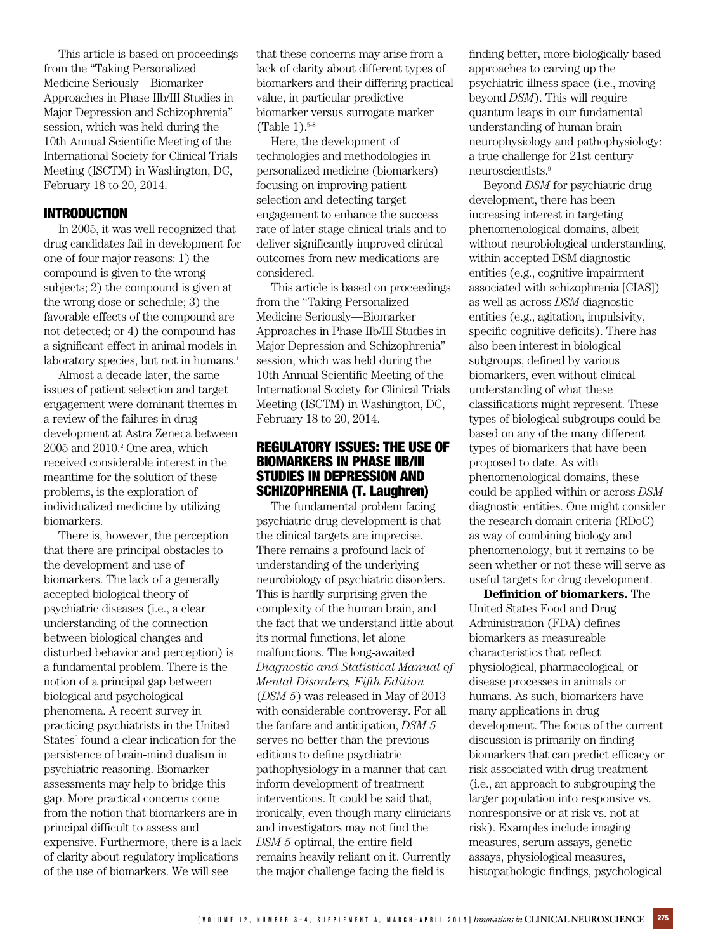This article is based on proceedings from the "Taking Personalized Medicine Seriously—Biomarker Approaches in Phase IIb/III Studies in Major Depression and Schizophrenia" session, which was held during the 10th Annual Scientific Meeting of the International Society for Clinical Trials Meeting (ISCTM) in Washington, DC, February 18 to 20, 2014.

## INTRODUCTION

In 2005, it was well recognized that drug candidates fail in development for one of four major reasons: 1) the compound is given to the wrong subjects; 2) the compound is given at the wrong dose or schedule; 3) the favorable effects of the compound are not detected; or 4) the compound has a significant effect in animal models in laboratory species, but not in humans.<sup>1</sup>

Almost a decade later, the same issues of patient selection and target engagement were dominant themes in a review of the failures in drug development at Astra Zeneca between  $2005$  and  $2010.<sup>2</sup>$  One area, which received considerable interest in the meantime for the solution of these problems, is the exploration of individualized medicine by utilizing biomarkers.

There is, however, the perception that there are principal obstacles to the development and use of biomarkers. The lack of a generally accepted biological theory of psychiatric diseases (i.e., a clear understanding of the connection between biological changes and disturbed behavior and perception) is a fundamental problem. There is the notion of a principal gap between biological and psychological phenomena. A recent survey in practicing psychiatrists in the United States<sup>3</sup> found a clear indication for the persistence of brain-mind dualism in psychiatric reasoning. Biomarker assessments may help to bridge this gap. More practical concerns come from the notion that biomarkers are in principal difficult to assess and expensive. Furthermore, there is a lack of clarity about regulatory implications of the use of biomarkers. We will see

that these concerns may arise from a lack of clarity about different types of biomarkers and their differing practical value, in particular predictive biomarker versus surrogate marker  $(Table 1).<sup>5-8</sup>$ 

Here, the development of technologies and methodologies in personalized medicine (biomarkers) focusing on improving patient selection and detecting target engagement to enhance the success rate of later stage clinical trials and to deliver significantly improved clinical outcomes from new medications are considered.

This article is based on proceedings from the "Taking Personalized Medicine Seriously—Biomarker Approaches in Phase IIb/III Studies in Major Depression and Schizophrenia" session, which was held during the 10th Annual Scientific Meeting of the International Society for Clinical Trials Meeting (ISCTM) in Washington, DC, February 18 to 20, 2014.

## REGULATORY ISSUES: THE USE OF BIOMARKERS IN PHASE IIB/III STUDIES IN DEPRESSION AND SCHIZOPHRENIA (T. Laughren)

The fundamental problem facing psychiatric drug development is that the clinical targets are imprecise. There remains a profound lack of understanding of the underlying neurobiology of psychiatric disorders. This is hardly surprising given the complexity of the human brain, and the fact that we understand little about its normal functions, let alone malfunctions. The long-awaited *Diagnostic and Statistical Manual of Mental Disorders, Fifth Edition* (*DSM 5*) was released in May of 2013 with considerable controversy. For all the fanfare and anticipation, *DSM 5* serves no better than the previous editions to define psychiatric pathophysiology in a manner that can inform development of treatment interventions. It could be said that, ironically, even though many clinicians and investigators may not find the *DSM 5* optimal, the entire field remains heavily reliant on it. Currently the major challenge facing the field is

finding better, more biologically based approaches to carving up the psychiatric illness space (i.e., moving beyond *DSM*). This will require quantum leaps in our fundamental understanding of human brain neurophysiology and pathophysiology: a true challenge for 21st century neuroscientists.<sup>9</sup>

Beyond *DSM* for psychiatric drug development, there has been increasing interest in targeting phenomenological domains, albeit without neurobiological understanding, within accepted DSM diagnostic entities (e.g., cognitive impairment associated with schizophrenia [CIAS]) as well as across *DSM* diagnostic entities (e.g., agitation, impulsivity, specific cognitive deficits). There has also been interest in biological subgroups, defined by various biomarkers, even without clinical understanding of what these classifications might represent. These types of biological subgroups could be based on any of the many different types of biomarkers that have been proposed to date. As with phenomenological domains, these could be applied within or across *DSM* diagnostic entities. One might consider the research domain criteria (RDoC) as way of combining biology and phenomenology, but it remains to be seen whether or not these will serve as useful targets for drug development.

**Definition of biomarkers.** The United States Food and Drug Administration (FDA) defines biomarkers as measureable characteristics that reflect physiological, pharmacological, or disease processes in animals or humans. As such, biomarkers have many applications in drug development. The focus of the current discussion is primarily on finding biomarkers that can predict efficacy or risk associated with drug treatment (i.e., an approach to subgrouping the larger population into responsive vs. nonresponsive or at risk vs. not at risk). Examples include imaging measures, serum assays, genetic assays, physiological measures, histopathologic findings, psychological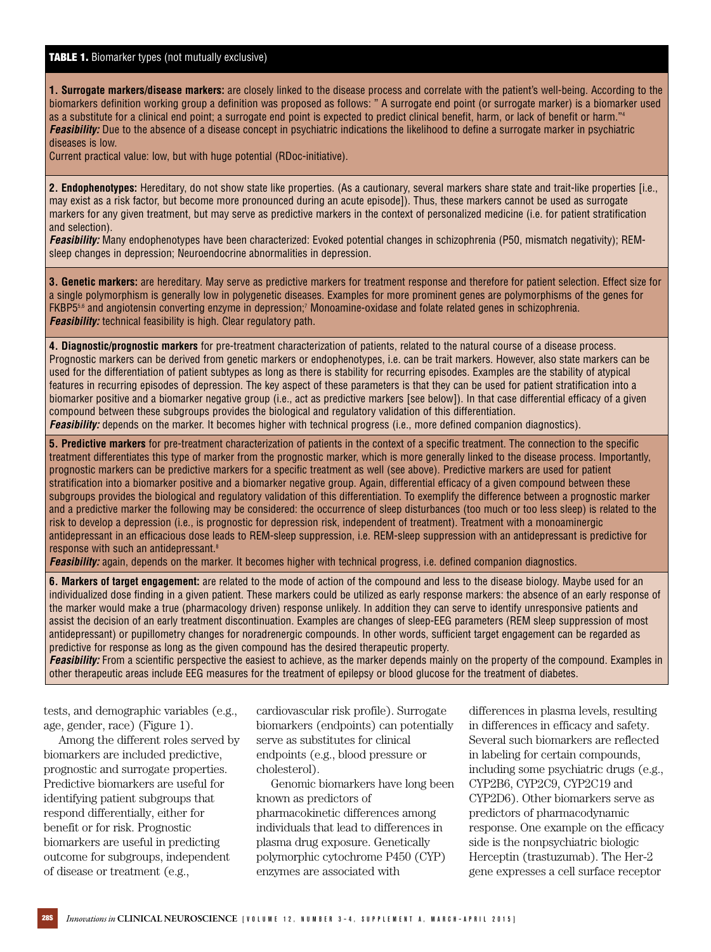#### **TABLE 1.** Biomarker types (not mutually exclusive)

**1. Surrogate markers/disease markers:** are closely linked to the disease process and correlate with the patient's well-being. According to the biomarkers definition working group a definition was proposed as follows: " A surrogate end point (or surrogate marker) is a biomarker used as a substitute for a clinical end point; a surrogate end point is expected to predict clinical benefit, harm, or lack of benefit or harm."<sup>4</sup> **Feasibility:** Due to the absence of a disease concept in psychiatric indications the likelihood to define a surrogate marker in psychiatric diseases is low.

Current practical value: low, but with huge potential (RDoc-initiative).

**2. Endophenotypes:** Hereditary, do not show state like properties. (As a cautionary, several markers share state and trait-like properties [i.e., may exist as a risk factor, but become more pronounced during an acute episode]). Thus, these markers cannot be used as surrogate markers for any given treatment, but may serve as predictive markers in the context of personalized medicine (i.e. for patient stratification and selection).

**Feasibility:** Many endophenotypes have been characterized: Evoked potential changes in schizophrenia (P50, mismatch negativity); REMsleep changes in depression; Neuroendocrine abnormalities in depression.

**3. Genetic markers:** are hereditary. May serve as predictive markers for treatment response and therefore for patient selection. Effect size for a single polymorphism is generally low in polygenetic diseases. Examples for more prominent genes are polymorphisms of the genes for FKBP55,6 and angiotensin converting enzyme in depression;<sup>7</sup> Monoamine-oxidase and folate related genes in schizophrenia. **Feasibility:** technical feasibility is high. Clear regulatory path.

**4. Diagnostic/prognostic markers** for pre-treatment characterization of patients, related to the natural course of a disease process. Prognostic markers can be derived from genetic markers or endophenotypes, i.e. can be trait markers. However, also state markers can be used for the differentiation of patient subtypes as long as there is stability for recurring episodes. Examples are the stability of atypical features in recurring episodes of depression. The key aspect of these parameters is that they can be used for patient stratification into a biomarker positive and a biomarker negative group (i.e., act as predictive markers [see below]). In that case differential efficacy of a given compound between these subgroups provides the biological and regulatory validation of this differentiation. **Feasibility:** depends on the marker. It becomes higher with technical progress (i.e., more defined companion diagnostics).

**5. Predictive markers** for pre-treatment characterization of patients in the context of a specific treatment. The connection to the specific treatment differentiates this type of marker from the prognostic marker, which is more generally linked to the disease process. Importantly, prognostic markers can be predictive markers for a specific treatment as well (see above). Predictive markers are used for patient stratification into a biomarker positive and a biomarker negative group. Again, differential efficacy of a given compound between these subgroups provides the biological and regulatory validation of this differentiation. To exemplify the difference between a prognostic marker and a predictive marker the following may be considered: the occurrence of sleep disturbances (too much or too less sleep) is related to the risk to develop a depression (i.e., is prognostic for depression risk, independent of treatment). Treatment with a monoaminergic antidepressant in an efficacious dose leads to REM-sleep suppression, i.e. REM-sleep suppression with an antidepressant is predictive for response with such an antidepressant.<sup>8</sup>

**Feasibility:** again, depends on the marker. It becomes higher with technical progress, i.e. defined companion diagnostics.

**6. Markers of target engagement:** are related to the mode of action of the compound and less to the disease biology. Maybe used for an individualized dose finding in a given patient. These markers could be utilized as early response markers: the absence of an early response of the marker would make a true (pharmacology driven) response unlikely. In addition they can serve to identify unresponsive patients and assist the decision of an early treatment discontinuation. Examples are changes of sleep-EEG parameters (REM sleep suppression of most antidepressant) or pupillometry changes for noradrenergic compounds. In other words, sufficient target engagement can be regarded as predictive for response as long as the given compound has the desired therapeutic property.

**Feasibility:** From a scientific perspective the easiest to achieve, as the marker depends mainly on the property of the compound. Examples in other therapeutic areas include EEG measures for the treatment of epilepsy or blood glucose for the treatment of diabetes.

tests, and demographic variables (e.g., age, gender, race) (Figure 1).

Among the different roles served by biomarkers are included predictive, prognostic and surrogate properties. Predictive biomarkers are useful for identifying patient subgroups that respond differentially, either for benefit or for risk. Prognostic biomarkers are useful in predicting outcome for subgroups, independent of disease or treatment (e.g.,

cardiovascular risk profile). Surrogate biomarkers (endpoints) can potentially serve as substitutes for clinical endpoints (e.g., blood pressure or cholesterol).

Genomic biomarkers have long been known as predictors of pharmacokinetic differences among individuals that lead to differences in plasma drug exposure. Genetically polymorphic cytochrome P450 (CYP) enzymes are associated with

differences in plasma levels, resulting in differences in efficacy and safety. Several such biomarkers are reflected in labeling for certain compounds, including some psychiatric drugs (e.g., CYP2B6, CYP2C9, CYP2C19 and CYP2D6). Other biomarkers serve as predictors of pharmacodynamic response. One example on the efficacy side is the nonpsychiatric biologic Herceptin (trastuzumab). The Her-2 gene expresses a cell surface receptor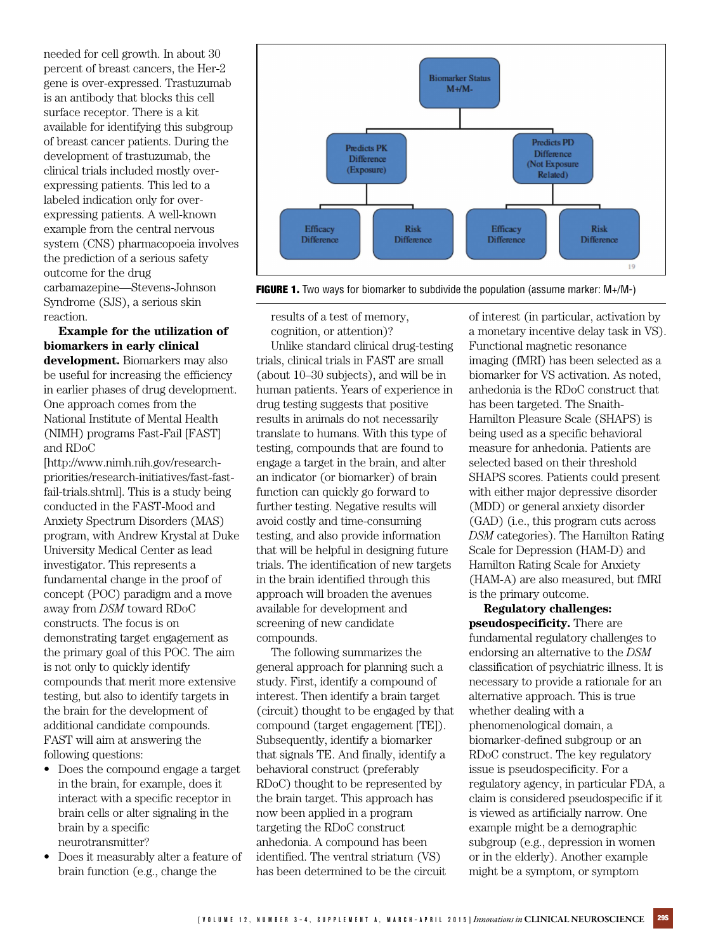needed for cell growth. In about 30 percent of breast cancers, the Her-2 gene is over-expressed. Trastuzumab is an antibody that blocks this cell surface receptor. There is a kit available for identifying this subgroup of breast cancer patients. During the development of trastuzumab, the clinical trials included mostly overexpressing patients. This led to a labeled indication only for overexpressing patients. A well-known example from the central nervous system (CNS) pharmacopoeia involves the prediction of a serious safety outcome for the drug carbamazepine—Stevens-Johnson Syndrome (SJS), a serious skin reaction.

**Example for the utilization of biomarkers in early clinical development.** Biomarkers may also be useful for increasing the efficiency in earlier phases of drug development. One approach comes from the National Institute of Mental Health (NIMH) programs Fast-Fail [FAST] and RDoC

[http://www.nimh.nih.gov/research[priorities/research-initiatives/fast-fast](http://www.nimh.nih.gov/research-priorities/research-initiatives/fast-fast-fail-trials.shtml)fail-trials.shtml]. This is a study being conducted in the FAST-Mood and Anxiety Spectrum Disorders (MAS) program, with Andrew Krystal at Duke University Medical Center as lead investigator. This represents a fundamental change in the proof of concept (POC) paradigm and a move away from *DSM* toward RDoC constructs. The focus is on demonstrating target engagement as the primary goal of this POC. The aim is not only to quickly identify compounds that merit more extensive testing, but also to identify targets in the brain for the development of additional candidate compounds. FAST will aim at answering the following questions:

- Does the compound engage a target in the brain, for example, does it interact with a specific receptor in brain cells or alter signaling in the brain by a specific neurotransmitter?
- Does it measurably alter a feature of brain function (e.g., change the



**FIGURE 1.** Two ways for biomarker to subdivide the population (assume marker:  $M+ / M-$ )

results of a test of memory, cognition, or attention)?

Unlike standard clinical drug-testing trials, clinical trials in FAST are small (about 10–30 subjects), and will be in human patients. Years of experience in drug testing suggests that positive results in animals do not necessarily translate to humans. With this type of testing, compounds that are found to engage a target in the brain, and alter an indicator (or biomarker) of brain function can quickly go forward to further testing. Negative results will avoid costly and time-consuming testing, and also provide information that will be helpful in designing future trials. The identification of new targets in the brain identified through this approach will broaden the avenues available for development and screening of new candidate compounds.

The following summarizes the general approach for planning such a study. First, identify a compound of interest. Then identify a brain target (circuit) thought to be engaged by that compound (target engagement [TE]). Subsequently, identify a biomarker that signals TE. And finally, identify a behavioral construct (preferably RDoC) thought to be represented by the brain target. This approach has now been applied in a program targeting the RDoC construct anhedonia. A compound has been identified. The ventral striatum (VS) has been determined to be the circuit

of interest (in particular, activation by a monetary incentive delay task in VS). Functional magnetic resonance imaging (fMRI) has been selected as a biomarker for VS activation. As noted, anhedonia is the RDoC construct that has been targeted. The Snaith-Hamilton Pleasure Scale (SHAPS) is being used as a specific behavioral measure for anhedonia. Patients are selected based on their threshold SHAPS scores. Patients could present with either major depressive disorder (MDD) or general anxiety disorder (GAD) (i.e., this program cuts across *DSM* categories). The Hamilton Rating Scale for Depression (HAM-D) and Hamilton Rating Scale for Anxiety (HAM-A) are also measured, but fMRI is the primary outcome.

**Regulatory challenges: pseudospecificity.** There are fundamental regulatory challenges to endorsing an alternative to the *DSM* classification of psychiatric illness. It is necessary to provide a rationale for an alternative approach. This is true whether dealing with a phenomenological domain, a biomarker-defined subgroup or an RDoC construct. The key regulatory issue is pseudospecificity. For a regulatory agency, in particular FDA, a claim is considered pseudospecific if it is viewed as artificially narrow. One example might be a demographic subgroup (e.g., depression in women or in the elderly). Another example might be a symptom, or symptom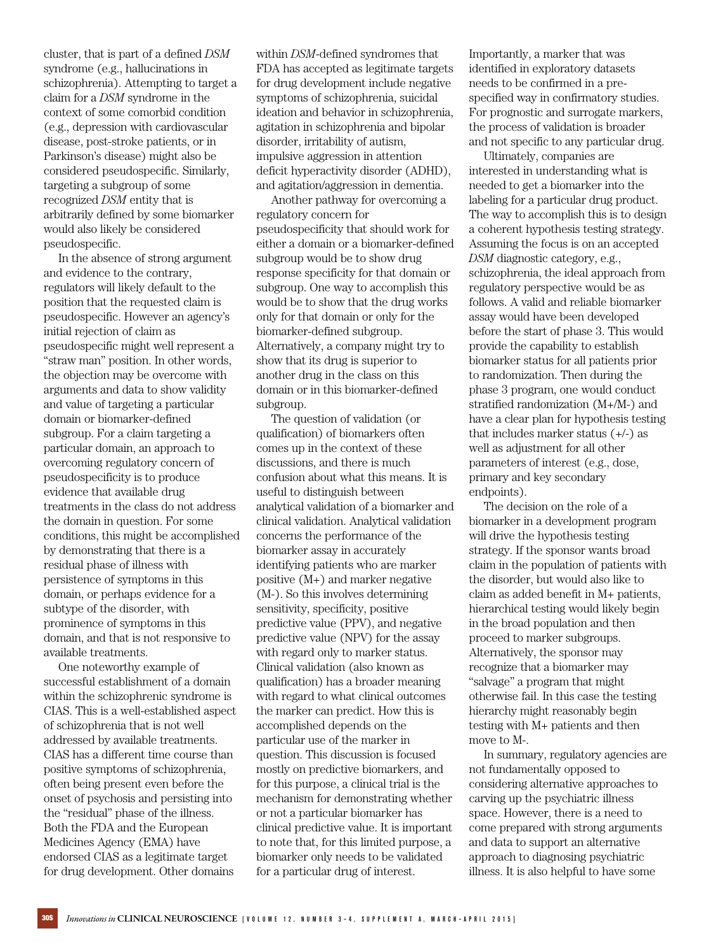cluster, that is part of a defined *DSM* syndrome (e.g., hallucinations in schizophrenia). Attempting to target a claim for a *DSM* syndrome in the context of some comorbid condition (e.g., depression with cardiovascular disease, post-stroke patients, or in Parkinson's disease) might also be considered pseudospecific. Similarly, targeting a subgroup of some recognized *DSM* entity that is arbitrarily defined by some biomarker would also likely be considered pseudospecific.

In the absence of strong argument and evidence to the contrary, regulators will likely default to the position that the requested claim is pseudospecific. However an agency's initial rejection of claim as pseudospecific might well represent a "straw man" position. In other words, the objection may be overcome with arguments and data to show validity and value of targeting a particular domain or biomarker-defined subgroup. For a claim targeting a particular domain, an approach to overcoming regulatory concern of pseudospecificity is to produce evidence that available drug treatments in the class do not address the domain in question. For some conditions, this might be accomplished by demonstrating that there is a residual phase of illness with persistence of symptoms in this domain, or perhaps evidence for a subtype of the disorder, with prominence of symptoms in this domain, and that is not responsive to available treatments.

One noteworthy example of successful establishment of a domain within the schizophrenic syndrome is CIAS. This is a well-established aspect of schizophrenia that is not well addressed by available treatments. CIAS has a different time course than positive symptoms of schizophrenia, often being present even before the onset of psychosis and persisting into the "residual" phase of the illness. Both the FDA and the European Medicines Agency (EMA) have endorsed CIAS as a legitimate target for drug development. Other domains

within *DSM*-defined syndromes that FDA has accepted as legitimate targets for drug development include negative symptoms of schizophrenia, suicidal ideation and behavior in schizophrenia, agitation in schizophrenia and bipolar disorder, irritability of autism, impulsive aggression in attention deficit hyperactivity disorder (ADHD), and agitation/aggression in dementia.

Another pathway for overcoming a regulatory concern for pseudospecificity that should work for either a domain or a biomarker-defined subgroup would be to show drug response specificity for that domain or subgroup. One way to accomplish this would be to show that the drug works only for that domain or only for the biomarker-defined subgroup. Alternatively, a company might try to show that its drug is superior to another drug in the class on this domain or in this biomarker-defined subgroup.

The question of validation (or qualification) of biomarkers often comes up in the context of these discussions, and there is much confusion about what this means. It is useful to distinguish between analytical validation of a biomarker and clinical validation. Analytical validation concerns the performance of the biomarker assay in accurately identifying patients who are marker positive (M+) and marker negative (M-). So this involves determining sensitivity, specificity, positive predictive value (PPV), and negative predictive value (NPV) for the assay with regard only to marker status. Clinical validation (also known as qualification) has a broader meaning with regard to what clinical outcomes the marker can predict. How this is accomplished depends on the particular use of the marker in question. This discussion is focused mostly on predictive biomarkers, and for this purpose, a clinical trial is the mechanism for demonstrating whether or not a particular biomarker has clinical predictive value. It is important to note that, for this limited purpose, a biomarker only needs to be validated for a particular drug of interest.

Importantly, a marker that was identified in exploratory datasets needs to be confirmed in a prespecified way in confirmatory studies. For prognostic and surrogate markers, the process of validation is broader and not specific to any particular drug.

Ultimately, companies are interested in understanding what is needed to get a biomarker into the labeling for a particular drug product. The way to accomplish this is to design a coherent hypothesis testing strategy. Assuming the focus is on an accepted *DSM* diagnostic category, e.g., schizophrenia, the ideal approach from regulatory perspective would be as follows. A valid and reliable biomarker assay would have been developed before the start of phase 3. This would provide the capability to establish biomarker status for all patients prior to randomization. Then during the phase 3 program, one would conduct stratified randomization (M+/M-) and have a clear plan for hypothesis testing that includes marker status  $(+/-)$  as well as adjustment for all other parameters of interest (e.g., dose, primary and key secondary endpoints).

The decision on the role of a biomarker in a development program will drive the hypothesis testing strategy. If the sponsor wants broad claim in the population of patients with the disorder, but would also like to claim as added benefit in M+ patients, hierarchical testing would likely begin in the broad population and then proceed to marker subgroups. Alternatively, the sponsor may recognize that a biomarker may "salvage" a program that might otherwise fail. In this case the testing hierarchy might reasonably begin testing with M+ patients and then move to M-.

In summary, regulatory agencies are not fundamentally opposed to considering alternative approaches to carving up the psychiatric illness space. However, there is a need to come prepared with strong arguments and data to support an alternative approach to diagnosing psychiatric illness. It is also helpful to have some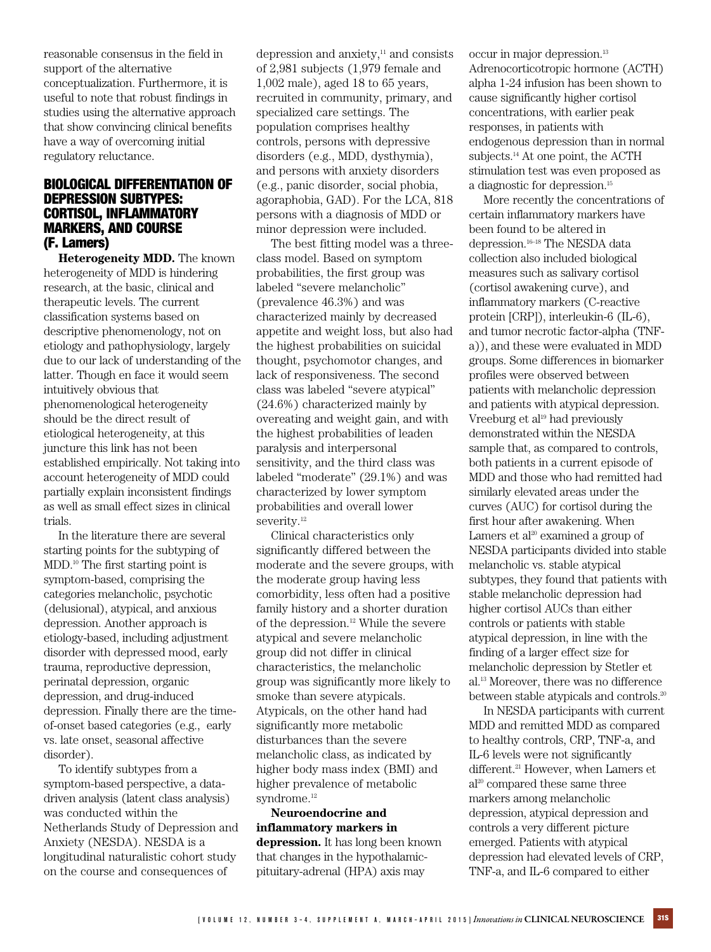reasonable consensus in the field in support of the alternative conceptualization. Furthermore, it is useful to note that robust findings in studies using the alternative approach that show convincing clinical benefits have a way of overcoming initial regulatory reluctance.

#### BIOLOGICAL DIFFERENTIATION OF DEPRESSION SUBTYPES: CORTISOL, INFLAMMATORY MARKERS, AND COURSE (F. Lamers)

**Heterogeneity MDD.** The known heterogeneity of MDD is hindering research, at the basic, clinical and therapeutic levels. The current classification systems based on descriptive phenomenology, not on etiology and pathophysiology, largely due to our lack of understanding of the latter. Though en face it would seem intuitively obvious that phenomenological heterogeneity should be the direct result of etiological heterogeneity, at this juncture this link has not been established empirically. Not taking into account heterogeneity of MDD could partially explain inconsistent findings as well as small effect sizes in clinical trials.

In the literature there are several starting points for the subtyping of MDD.<sup>10</sup> The first starting point is symptom-based, comprising the categories melancholic, psychotic (delusional), atypical, and anxious depression. Another approach is etiology-based, including adjustment disorder with depressed mood, early trauma, reproductive depression, perinatal depression, organic depression, and drug-induced depression. Finally there are the timeof-onset based categories (e.g., early vs. late onset, seasonal affective disorder).

To identify subtypes from a symptom-based perspective, a datadriven analysis (latent class analysis) was conducted within the Netherlands Study of Depression and Anxiety (NESDA). NESDA is a longitudinal naturalistic cohort study on the course and consequences of

depression and anxiety, $11$  and consists of 2,981 subjects (1,979 female and 1,002 male), aged 18 to 65 years, recruited in community, primary, and specialized care settings. The population comprises healthy controls, persons with depressive disorders (e.g., MDD, dysthymia), and persons with anxiety disorders (e.g., panic disorder, social phobia, agoraphobia, GAD). For the LCA, 818 persons with a diagnosis of MDD or minor depression were included.

The best fitting model was a threeclass model. Based on symptom probabilities, the first group was labeled "severe melancholic" (prevalence 46.3%) and was characterized mainly by decreased appetite and weight loss, but also had the highest probabilities on suicidal thought, psychomotor changes, and lack of responsiveness. The second class was labeled "severe atypical" (24.6%) characterized mainly by overeating and weight gain, and with the highest probabilities of leaden paralysis and interpersonal sensitivity, and the third class was labeled "moderate" (29.1%) and was characterized by lower symptom probabilities and overall lower severity.<sup>12</sup>

Clinical characteristics only significantly differed between the moderate and the severe groups, with the moderate group having less comorbidity, less often had a positive family history and a shorter duration of the depression.<sup>12</sup> While the severe atypical and severe melancholic group did not differ in clinical characteristics, the melancholic group was significantly more likely to smoke than severe atypicals. Atypicals, on the other hand had significantly more metabolic disturbances than the severe melancholic class, as indicated by higher body mass index (BMI) and higher prevalence of metabolic syndrome.<sup>12</sup>

**Neuroendocrine and inflammatory markers in depression.** It has long been known that changes in the hypothalamicpituitary-adrenal (HPA) axis may

occur in major depression.<sup>13</sup> Adrenocorticotropic hormone (ACTH) alpha 1-24 infusion has been shown to cause significantly higher cortisol concentrations, with earlier peak responses, in patients with endogenous depression than in normal subjects.<sup>14</sup> At one point, the ACTH stimulation test was even proposed as a diagnostic for depression.<sup>15</sup>

More recently the concentrations of certain inflammatory markers have been found to be altered in depression.16–18 The NESDA data collection also included biological measures such as salivary cortisol (cortisol awakening curve), and inflammatory markers (C-reactive protein [CRP]), interleukin-6 (IL-6), and tumor necrotic factor-alpha (TNFa)), and these were evaluated in MDD groups. Some differences in biomarker profiles were observed between patients with melancholic depression and patients with atypical depression. Vreeburg et al<sup>19</sup> had previously demonstrated within the NESDA sample that, as compared to controls, both patients in a current episode of MDD and those who had remitted had similarly elevated areas under the curves (AUC) for cortisol during the first hour after awakening. When Lamers et al<sup>20</sup> examined a group of NESDA participants divided into stable melancholic vs. stable atypical subtypes, they found that patients with stable melancholic depression had higher cortisol AUCs than either controls or patients with stable atypical depression, in line with the finding of a larger effect size for melancholic depression by Stetler et al.<sup>13</sup> Moreover, there was no difference between stable atypicals and controls.<sup>20</sup>

In NESDA participants with current MDD and remitted MDD as compared to healthy controls, CRP, TNF-a, and IL-6 levels were not significantly different.<sup>21</sup> However, when Lamers et al<sup>20</sup> compared these same three markers among melancholic depression, atypical depression and controls a very different picture emerged. Patients with atypical depression had elevated levels of CRP, TNF-a, and IL-6 compared to either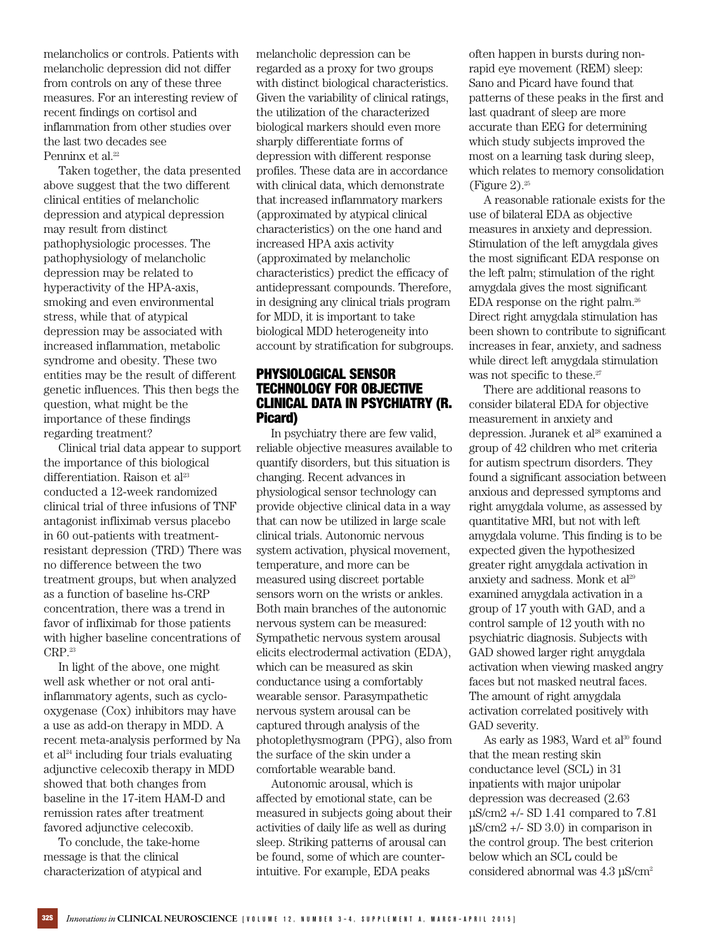melancholics or controls. Patients with melancholic depression did not differ from controls on any of these three measures. For an interesting review of recent findings on cortisol and inflammation from other studies over the last two decades see Penninx et al.<sup>22</sup>

Taken together, the data presented above suggest that the two different clinical entities of melancholic depression and atypical depression may result from distinct pathophysiologic processes. The pathophysiology of melancholic depression may be related to hyperactivity of the HPA-axis, smoking and even environmental stress, while that of atypical depression may be associated with increased inflammation, metabolic syndrome and obesity. These two entities may be the result of different genetic influences. This then begs the question, what might be the importance of these findings regarding treatment?

Clinical trial data appear to support the importance of this biological differentiation. Raison et  $al<sup>23</sup>$ conducted a 12-week randomized clinical trial of three infusions of TNF antagonist infliximab versus placebo in 60 out-patients with treatmentresistant depression (TRD) There was no difference between the two treatment groups, but when analyzed as a function of baseline hs-CRP concentration, there was a trend in favor of infliximab for those patients with higher baseline concentrations of CRP.<sup>23</sup>

In light of the above, one might well ask whether or not oral antiinflammatory agents, such as cyclooxygenase (Cox) inhibitors may have a use as add-on therapy in MDD. A recent meta-analysis performed by Na  $et al<sup>24</sup> including four trials evaluating$ adjunctive celecoxib therapy in MDD showed that both changes from baseline in the 17-item HAM-D and remission rates after treatment favored adjunctive celecoxib.

To conclude, the take-home message is that the clinical characterization of atypical and melancholic depression can be regarded as a proxy for two groups with distinct biological characteristics. Given the variability of clinical ratings, the utilization of the characterized biological markers should even more sharply differentiate forms of depression with different response profiles. These data are in accordance with clinical data, which demonstrate that increased inflammatory markers (approximated by atypical clinical characteristics) on the one hand and increased HPA axis activity (approximated by melancholic characteristics) predict the efficacy of antidepressant compounds. Therefore, in designing any clinical trials program for MDD, it is important to take biological MDD heterogeneity into account by stratification for subgroups.

## PHYSIOLOGICAL SENSOR TECHNOLOGY FOR OBJECTIVE CLINICAL DATA IN PSYCHIATRY (R. Picard)

In psychiatry there are few valid, reliable objective measures available to quantify disorders, but this situation is changing. Recent advances in physiological sensor technology can provide objective clinical data in a way that can now be utilized in large scale clinical trials. Autonomic nervous system activation, physical movement, temperature, and more can be measured using discreet portable sensors worn on the wrists or ankles. Both main branches of the autonomic nervous system can be measured: Sympathetic nervous system arousal elicits electrodermal activation (EDA), which can be measured as skin conductance using a comfortably wearable sensor. Parasympathetic nervous system arousal can be captured through analysis of the photoplethysmogram (PPG), also from the surface of the skin under a comfortable wearable band.

Autonomic arousal, which is affected by emotional state, can be measured in subjects going about their activities of daily life as well as during sleep. Striking patterns of arousal can be found, some of which are counterintuitive. For example, EDA peaks

often happen in bursts during nonrapid eye movement (REM) sleep: Sano and Picard have found that patterns of these peaks in the first and last quadrant of sleep are more accurate than EEG for determining which study subjects improved the most on a learning task during sleep, which relates to memory consolidation (Figure 2). $25$ 

A reasonable rationale exists for the use of bilateral EDA as objective measures in anxiety and depression. Stimulation of the left amygdala gives the most significant EDA response on the left palm; stimulation of the right amygdala gives the most significant EDA response on the right palm.<sup>26</sup> Direct right amygdala stimulation has been shown to contribute to significant increases in fear, anxiety, and sadness while direct left amygdala stimulation was not specific to these.<sup>27</sup>

There are additional reasons to consider bilateral EDA for objective measurement in anxiety and depression. Juranek et al<sup>28</sup> examined a group of 42 children who met criteria for autism spectrum disorders. They found a significant association between anxious and depressed symptoms and right amygdala volume, as assessed by quantitative MRI, but not with left amygdala volume. This finding is to be expected given the hypothesized greater right amygdala activation in anxiety and sadness. Monk et al<sup>29</sup> examined amygdala activation in a group of 17 youth with GAD, and a control sample of 12 youth with no psychiatric diagnosis. Subjects with GAD showed larger right amygdala activation when viewing masked angry faces but not masked neutral faces. The amount of right amygdala activation correlated positively with GAD severity.

As early as 1983, Ward et al<sup>30</sup> found that the mean resting skin conductance level (SCL) in 31 inpatients with major unipolar depression was decreased (2.63 μS/cm2 +/- SD 1.41 compared to 7.81  $\mu$ S/cm2 +/- SD 3.0) in comparison in the control group. The best criterion below which an SCL could be considered abnormal was 4.3 μS/cm2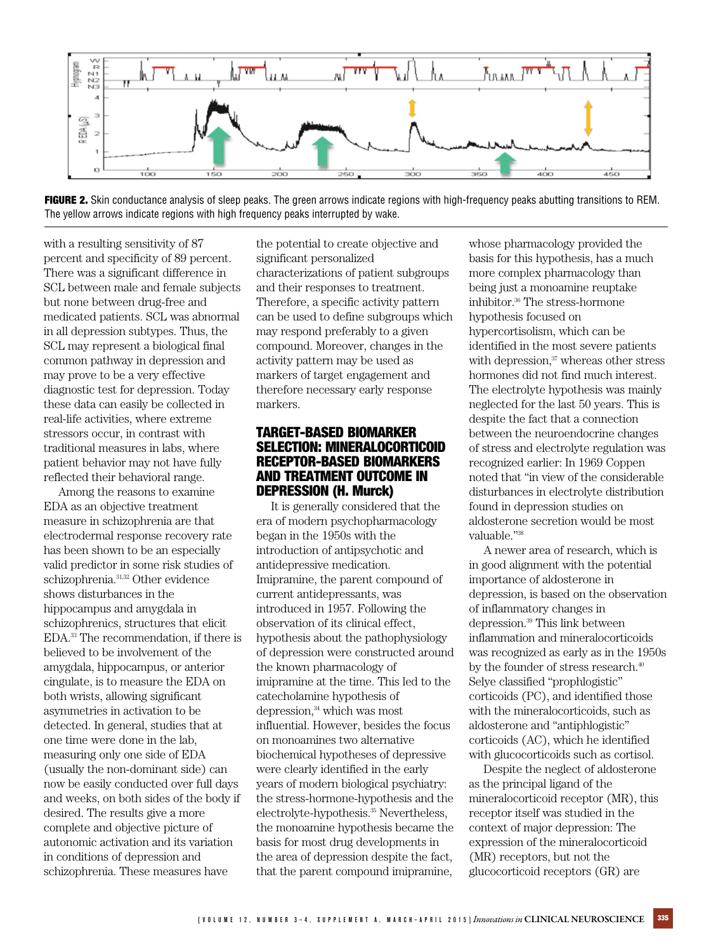

FIGURE 2. Skin conductance analysis of sleep peaks. The green arrows indicate regions with high-frequency peaks abutting transitions to REM. The yellow arrows indicate regions with high frequency peaks interrupted by wake.

with a resulting sensitivity of 87 percent and specificity of 89 percent. There was a significant difference in SCL between male and female subjects but none between drug-free and medicated patients. SCL was abnormal in all depression subtypes. Thus, the SCL may represent a biological final common pathway in depression and may prove to be a very effective diagnostic test for depression. Today these data can easily be collected in real-life activities, where extreme stressors occur, in contrast with traditional measures in labs, where patient behavior may not have fully reflected their behavioral range.

Among the reasons to examine EDA as an objective treatment measure in schizophrenia are that electrodermal response recovery rate has been shown to be an especially valid predictor in some risk studies of schizophrenia.31,32 Other evidence shows disturbances in the hippocampus and amygdala in schizophrenics, structures that elicit EDA.<sup>33</sup> The recommendation, if there is believed to be involvement of the amygdala, hippocampus, or anterior cingulate, is to measure the EDA on both wrists, allowing significant asymmetries in activation to be detected. In general, studies that at one time were done in the lab, measuring only one side of EDA (usually the non-dominant side) can now be easily conducted over full days and weeks, on both sides of the body if desired. The results give a more complete and objective picture of autonomic activation and its variation in conditions of depression and schizophrenia. These measures have

the potential to create objective and significant personalized characterizations of patient subgroups and their responses to treatment. Therefore, a specific activity pattern can be used to define subgroups which may respond preferably to a given compound. Moreover, changes in the activity pattern may be used as markers of target engagement and therefore necessary early response markers.

#### TARGET-BASED BIOMARKER SELECTION: MINERALOCORTICOID RECEPTOR-BASED BIOMARKERS AND TREATMENT OUTCOME IN DEPRESSION (H. Murck)

It is generally considered that the era of modern psychopharmacology began in the 1950s with the introduction of antipsychotic and antidepressive medication. Imipramine, the parent compound of current antidepressants, was introduced in 1957. Following the observation of its clinical effect, hypothesis about the pathophysiology of depression were constructed around the known pharmacology of imipramine at the time. This led to the catecholamine hypothesis of depression,<sup>34</sup> which was most influential. However, besides the focus on monoamines two alternative biochemical hypotheses of depressive were clearly identified in the early years of modern biological psychiatry: the stress-hormone-hypothesis and the electrolyte-hypothesis.<sup>35</sup> Nevertheless, the monoamine hypothesis became the basis for most drug developments in the area of depression despite the fact, that the parent compound imipramine,

whose pharmacology provided the basis for this hypothesis, has a much more complex pharmacology than being just a monoamine reuptake inhibitor.<sup>36</sup> The stress-hormone hypothesis focused on hypercortisolism, which can be identified in the most severe patients with depression, $37$  whereas other stress hormones did not find much interest. The electrolyte hypothesis was mainly neglected for the last 50 years. This is despite the fact that a connection between the neuroendocrine changes of stress and electrolyte regulation was recognized earlier: In 1969 Coppen noted that "in view of the considerable disturbances in electrolyte distribution found in depression studies on aldosterone secretion would be most valuable."<sup>38</sup>

A newer area of research, which is in good alignment with the potential importance of aldosterone in depression, is based on the observation of inflammatory changes in depression.<sup>39</sup> This link between inflammation and mineralocorticoids was recognized as early as in the 1950s by the founder of stress research.<sup>40</sup> Selye classified "prophlogistic" corticoids (PC), and identified those with the mineralocorticoids, such as aldosterone and "antiphlogistic" corticoids (AC), which he identified with glucocorticoids such as cortisol.

Despite the neglect of aldosterone as the principal ligand of the mineralocorticoid receptor (MR), this receptor itself was studied in the context of major depression: The expression of the mineralocorticoid (MR) receptors, but not the glucocorticoid receptors (GR) are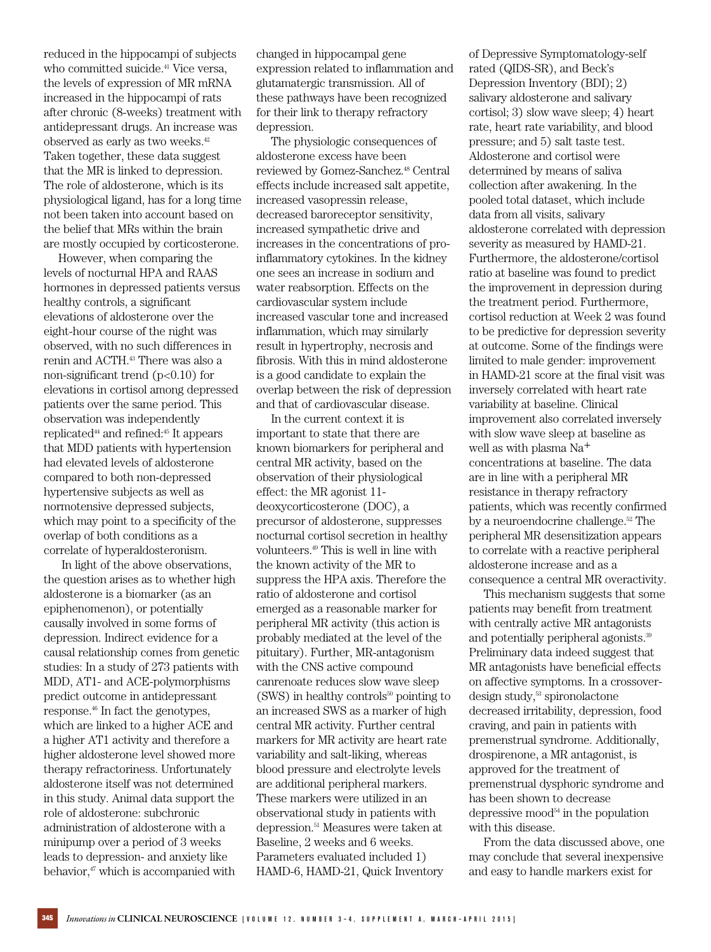reduced in the hippocampi of subjects who committed suicide.<sup>41</sup> Vice versa, the levels of expression of MR mRNA increased in the hippocampi of rats after chronic (8-weeks) treatment with antidepressant drugs. An increase was observed as early as two weeks.<sup>42</sup> Taken together, these data suggest that the MR is linked to depression. The role of aldosterone, which is its physiological ligand, has for a long time not been taken into account based on the belief that MRs within the brain are mostly occupied by corticosterone.

However, when comparing the levels of nocturnal HPA and RAAS hormones in depressed patients versus healthy controls, a significant elevations of aldosterone over the eight-hour course of the night was observed, with no such differences in renin and ACTH.<sup>43</sup> There was also a non-significant trend  $(p<0.10)$  for elevations in cortisol among depressed patients over the same period. This observation was independently replicated<sup>44</sup> and refined:<sup>45</sup> It appears that MDD patients with hypertension had elevated levels of aldosterone compared to both non-depressed hypertensive subjects as well as normotensive depressed subjects, which may point to a specificity of the overlap of both conditions as a correlate of hyperaldosteronism.

In light of the above observations, the question arises as to whether high aldosterone is a biomarker (as an epiphenomenon), or potentially causally involved in some forms of depression. Indirect evidence for a causal relationship comes from genetic studies: In a study of 273 patients with MDD, AT1- and ACE-polymorphisms predict outcome in antidepressant response.<sup>46</sup> In fact the genotypes, which are linked to a higher ACE and a higher AT1 activity and therefore a higher aldosterone level showed more therapy refractoriness. Unfortunately aldosterone itself was not determined in this study. Animal data support the role of aldosterone: subchronic administration of aldosterone with a minipump over a period of 3 weeks leads to depression- and anxiety like behavior,<sup>47</sup> which is accompanied with

changed in hippocampal gene expression related to inflammation and glutamatergic transmission. All of these pathways have been recognized for their link to therapy refractory depression.

The physiologic consequences of aldosterone excess have been reviewed by Gomez-Sanchez.<sup>48</sup> Central effects include increased salt appetite, increased vasopressin release, decreased baroreceptor sensitivity, increased sympathetic drive and increases in the concentrations of proinflammatory cytokines. In the kidney one sees an increase in sodium and water reabsorption. Effects on the cardiovascular system include increased vascular tone and increased inflammation, which may similarly result in hypertrophy, necrosis and fibrosis. With this in mind aldosterone is a good candidate to explain the overlap between the risk of depression and that of cardiovascular disease.

In the current context it is important to state that there are known biomarkers for peripheral and central MR activity, based on the observation of their physiological effect: the MR agonist 11 deoxycorticosterone (DOC), a precursor of aldosterone, suppresses nocturnal cortisol secretion in healthy volunteers.<sup>49</sup> This is well in line with the known activity of the MR to suppress the HPA axis. Therefore the ratio of aldosterone and cortisol emerged as a reasonable marker for peripheral MR activity (this action is probably mediated at the level of the pituitary). Further, MR-antagonism with the CNS active compound canrenoate reduces slow wave sleep  $(SWS)$  in healthy controls<sup>50</sup> pointing to an increased SWS as a marker of high central MR activity. Further central markers for MR activity are heart rate variability and salt-liking, whereas blood pressure and electrolyte levels are additional peripheral markers. These markers were utilized in an observational study in patients with depression.<sup>51</sup> Measures were taken at Baseline, 2 weeks and 6 weeks. Parameters evaluated included 1) HAMD-6, HAMD-21, Quick Inventory

of Depressive Symptomatology-self rated (QIDS-SR), and Beck's Depression Inventory (BDI); 2) salivary aldosterone and salivary cortisol; 3) slow wave sleep; 4) heart rate, heart rate variability, and blood pressure; and 5) salt taste test. Aldosterone and cortisol were determined by means of saliva collection after awakening. In the pooled total dataset, which include data from all visits, salivary aldosterone correlated with depression severity as measured by HAMD-21. Furthermore, the aldosterone/cortisol ratio at baseline was found to predict the improvement in depression during the treatment period. Furthermore, cortisol reduction at Week 2 was found to be predictive for depression severity at outcome. Some of the findings were limited to male gender: improvement in HAMD-21 score at the final visit was inversely correlated with heart rate variability at baseline. Clinical improvement also correlated inversely with slow wave sleep at baseline as well as with plasma Na+ concentrations at baseline. The data are in line with a peripheral MR resistance in therapy refractory patients, which was recently confirmed by a neuroendocrine challenge.<sup>52</sup> The peripheral MR desensitization appears to correlate with a reactive peripheral aldosterone increase and as a consequence a central MR overactivity.

This mechanism suggests that some patients may benefit from treatment with centrally active MR antagonists and potentially peripheral agonists.<sup>39</sup> Preliminary data indeed suggest that MR antagonists have beneficial effects on affective symptoms. In a crossover $design study<sub>53</sub> spironolactone$ decreased irritability, depression, food craving, and pain in patients with premenstrual syndrome. Additionally, drospirenone, a MR antagonist, is approved for the treatment of premenstrual dysphoric syndrome and has been shown to decrease depressive mood<sup>54</sup> in the population with this disease.

From the data discussed above, one may conclude that several inexpensive and easy to handle markers exist for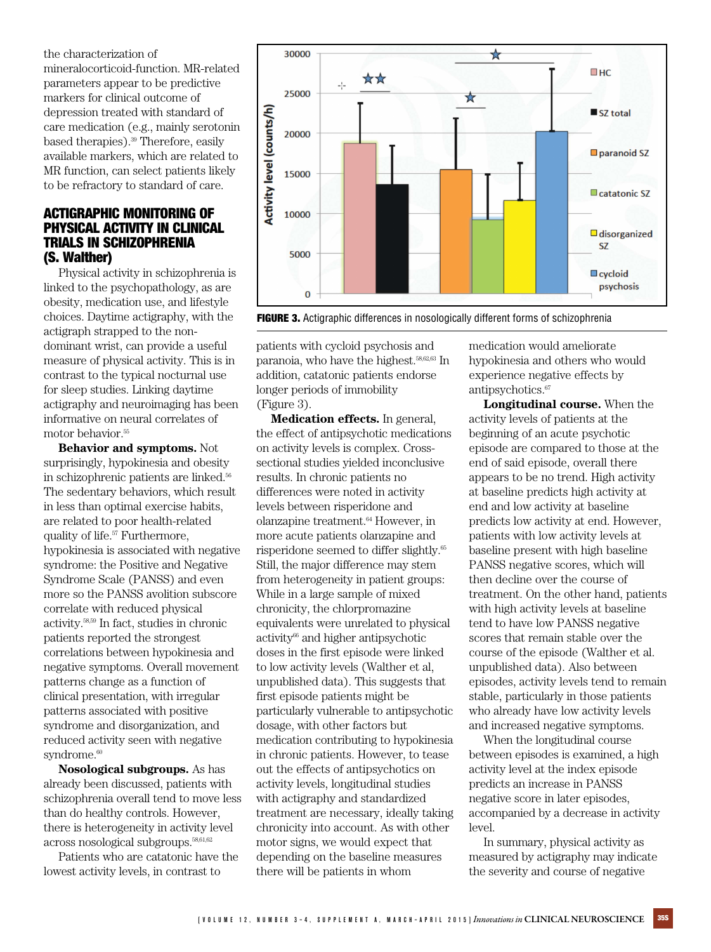the characterization of mineralocorticoid-function. MR-related parameters appear to be predictive markers for clinical outcome of depression treated with standard of care medication (e.g., mainly serotonin based therapies).<sup>39</sup> Therefore, easily available markers, which are related to MR function, can select patients likely to be refractory to standard of care.

## ACTIGRAPHIC MONITORING OF PHYSICAL ACTIVITY IN CLINICAL TRIALS IN SCHIZOPHRENIA (S. Walther)

Physical activity in schizophrenia is linked to the psychopathology, as are obesity, medication use, and lifestyle choices. Daytime actigraphy, with the actigraph strapped to the nondominant wrist, can provide a useful measure of physical activity. This is in contrast to the typical nocturnal use for sleep studies. Linking daytime actigraphy and neuroimaging has been informative on neural correlates of motor behavior.<sup>55</sup>

**Behavior and symptoms.** Not surprisingly, hypokinesia and obesity in schizophrenic patients are linked.<sup>56</sup> The sedentary behaviors, which result in less than optimal exercise habits, are related to poor health-related quality of life.<sup>57</sup> Furthermore, hypokinesia is associated with negative syndrome: the Positive and Negative Syndrome Scale (PANSS) and even more so the PANSS avolition subscore correlate with reduced physical activity.58,59 In fact, studies in chronic patients reported the strongest correlations between hypokinesia and negative symptoms. Overall movement patterns change as a function of clinical presentation, with irregular patterns associated with positive syndrome and disorganization, and reduced activity seen with negative syndrome.<sup>60</sup>

**Nosological subgroups.** As has already been discussed, patients with schizophrenia overall tend to move less than do healthy controls. However, there is heterogeneity in activity level across nosological subgroups.58,61,62

Patients who are catatonic have the lowest activity levels, in contrast to



**FIGURE 3.** Actigraphic differences in nosologically different forms of schizophrenia

patients with cycloid psychosis and paranoia, who have the highest.<sup>58,62,63</sup> In addition, catatonic patients endorse longer periods of immobility (Figure 3).

**Medication effects.** In general, the effect of antipsychotic medications on activity levels is complex. Crosssectional studies yielded inconclusive results. In chronic patients no differences were noted in activity levels between risperidone and olanzapine treatment.<sup>64</sup> However, in more acute patients olanzapine and risperidone seemed to differ slightly.<sup>65</sup> Still, the major difference may stem from heterogeneity in patient groups: While in a large sample of mixed chronicity, the chlorpromazine equivalents were unrelated to physical activity<sup>66</sup> and higher antipsychotic doses in the first episode were linked to low activity levels (Walther et al, unpublished data). This suggests that first episode patients might be particularly vulnerable to antipsychotic dosage, with other factors but medication contributing to hypokinesia in chronic patients. However, to tease out the effects of antipsychotics on activity levels, longitudinal studies with actigraphy and standardized treatment are necessary, ideally taking chronicity into account. As with other motor signs, we would expect that depending on the baseline measures there will be patients in whom

medication would ameliorate hypokinesia and others who would experience negative effects by antipsychotics.<sup>67</sup>

**Longitudinal course.** When the activity levels of patients at the beginning of an acute psychotic episode are compared to those at the end of said episode, overall there appears to be no trend. High activity at baseline predicts high activity at end and low activity at baseline predicts low activity at end. However, patients with low activity levels at baseline present with high baseline PANSS negative scores, which will then decline over the course of treatment. On the other hand, patients with high activity levels at baseline tend to have low PANSS negative scores that remain stable over the course of the episode (Walther et al. unpublished data). Also between episodes, activity levels tend to remain stable, particularly in those patients who already have low activity levels and increased negative symptoms.

When the longitudinal course between episodes is examined, a high activity level at the index episode predicts an increase in PANSS negative score in later episodes, accompanied by a decrease in activity level.

In summary, physical activity as measured by actigraphy may indicate the severity and course of negative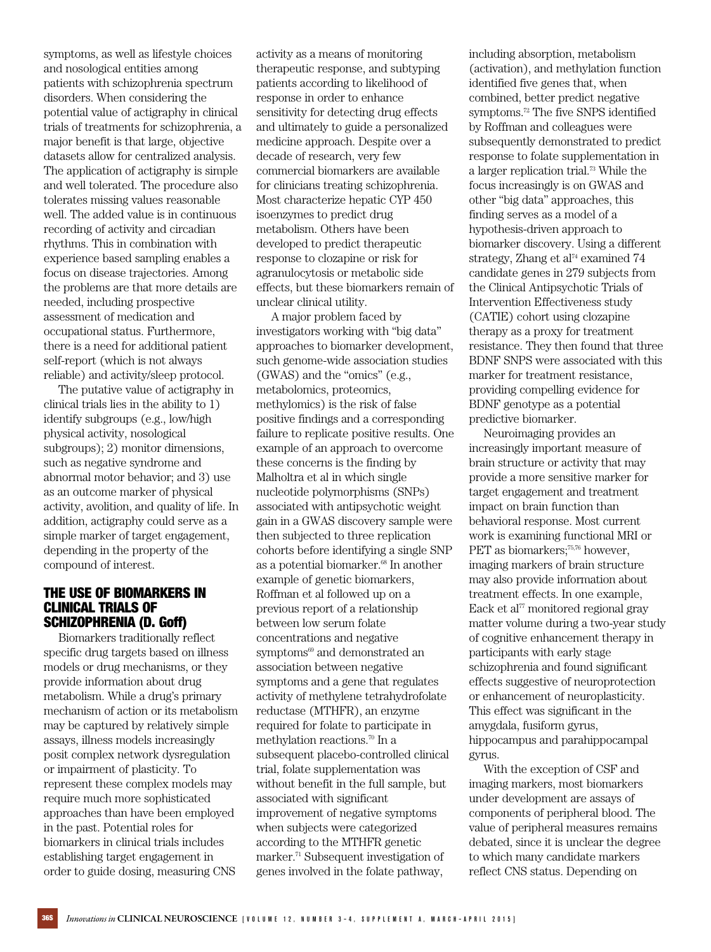symptoms, as well as lifestyle choices and nosological entities among patients with schizophrenia spectrum disorders. When considering the potential value of actigraphy in clinical trials of treatments for schizophrenia, a major benefit is that large, objective datasets allow for centralized analysis. The application of actigraphy is simple and well tolerated. The procedure also tolerates missing values reasonable well. The added value is in continuous recording of activity and circadian rhythms. This in combination with experience based sampling enables a focus on disease trajectories. Among the problems are that more details are needed, including prospective assessment of medication and occupational status. Furthermore, there is a need for additional patient self-report (which is not always reliable) and activity/sleep protocol.

The putative value of actigraphy in clinical trials lies in the ability to 1) identify subgroups (e.g., low/high physical activity, nosological subgroups); 2) monitor dimensions, such as negative syndrome and abnormal motor behavior; and 3) use as an outcome marker of physical activity, avolition, and quality of life. In addition, actigraphy could serve as a simple marker of target engagement, depending in the property of the compound of interest.

#### THE USE OF BIOMARKERS IN CLINICAL TRIALS OF SCHIZOPHRENIA (D. Goff)

Biomarkers traditionally reflect specific drug targets based on illness models or drug mechanisms, or they provide information about drug metabolism. While a drug's primary mechanism of action or its metabolism may be captured by relatively simple assays, illness models increasingly posit complex network dysregulation or impairment of plasticity. To represent these complex models may require much more sophisticated approaches than have been employed in the past. Potential roles for biomarkers in clinical trials includes establishing target engagement in order to guide dosing, measuring CNS

activity as a means of monitoring therapeutic response, and subtyping patients according to likelihood of response in order to enhance sensitivity for detecting drug effects and ultimately to guide a personalized medicine approach. Despite over a decade of research, very few commercial biomarkers are available for clinicians treating schizophrenia. Most characterize hepatic CYP 450 isoenzymes to predict drug metabolism. Others have been developed to predict therapeutic response to clozapine or risk for agranulocytosis or metabolic side effects, but these biomarkers remain of unclear clinical utility.

A major problem faced by investigators working with "big data" approaches to biomarker development, such genome-wide association studies (GWAS) and the "omics" (e.g., metabolomics, proteomics, methylomics) is the risk of false positive findings and a corresponding failure to replicate positive results. One example of an approach to overcome these concerns is the finding by Malholtra et al in which single nucleotide polymorphisms (SNPs) associated with antipsychotic weight gain in a GWAS discovery sample were then subjected to three replication cohorts before identifying a single SNP as a potential biomarker.<sup>68</sup> In another example of genetic biomarkers, Roffman et al followed up on a previous report of a relationship between low serum folate concentrations and negative symptoms<sup>69</sup> and demonstrated an association between negative symptoms and a gene that regulates activity of methylene tetrahydrofolate reductase (MTHFR), an enzyme required for folate to participate in methylation reactions.<sup>70</sup> In a subsequent placebo-controlled clinical trial, folate supplementation was without benefit in the full sample, but associated with significant improvement of negative symptoms when subjects were categorized according to the MTHFR genetic marker.<sup>71</sup> Subsequent investigation of genes involved in the folate pathway,

including absorption, metabolism (activation), and methylation function identified five genes that, when combined, better predict negative symptoms.<sup>72</sup> The five SNPS identified by Roffman and colleagues were subsequently demonstrated to predict response to folate supplementation in a larger replication trial.<sup>73</sup> While the focus increasingly is on GWAS and other "big data" approaches, this finding serves as a model of a hypothesis-driven approach to biomarker discovery. Using a different strategy, Zhang et al<sup>74</sup> examined 74 candidate genes in 279 subjects from the Clinical Antipsychotic Trials of Intervention Effectiveness study (CATIE) cohort using clozapine therapy as a proxy for treatment resistance. They then found that three BDNF SNPS were associated with this marker for treatment resistance, providing compelling evidence for BDNF genotype as a potential predictive biomarker.

Neuroimaging provides an increasingly important measure of brain structure or activity that may provide a more sensitive marker for target engagement and treatment impact on brain function than behavioral response. Most current work is examining functional MRI or PET as biomarkers;<sup>75,76</sup> however, imaging markers of brain structure may also provide information about treatment effects. In one example, Eack et al $^{77}$  monitored regional gray matter volume during a two-year study of cognitive enhancement therapy in participants with early stage schizophrenia and found significant effects suggestive of neuroprotection or enhancement of neuroplasticity. This effect was significant in the amygdala, fusiform gyrus, hippocampus and parahippocampal gyrus.

With the exception of CSF and imaging markers, most biomarkers under development are assays of components of peripheral blood. The value of peripheral measures remains debated, since it is unclear the degree to which many candidate markers reflect CNS status. Depending on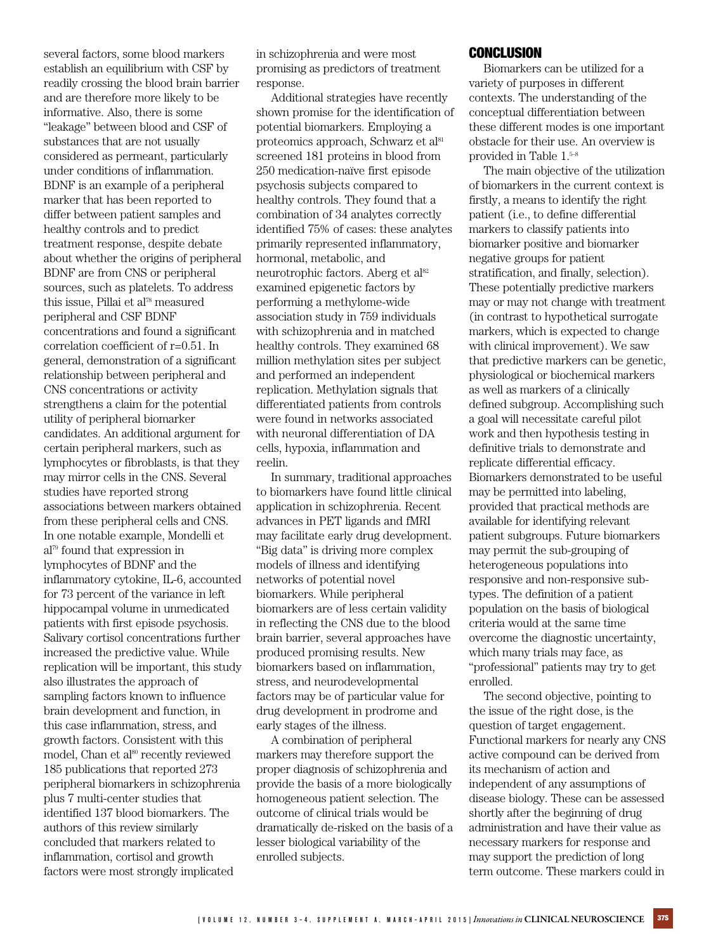several factors, some blood markers establish an equilibrium with CSF by readily crossing the blood brain barrier and are therefore more likely to be informative. Also, there is some "leakage" between blood and CSF of substances that are not usually considered as permeant, particularly under conditions of inflammation. BDNF is an example of a peripheral marker that has been reported to differ between patient samples and healthy controls and to predict treatment response, despite debate about whether the origins of peripheral BDNF are from CNS or peripheral sources, such as platelets. To address this issue, Pillai et al<sup>78</sup> measured peripheral and CSF BDNF concentrations and found a significant correlation coefficient of r=0.51. In general, demonstration of a significant relationship between peripheral and CNS concentrations or activity strengthens a claim for the potential utility of peripheral biomarker candidates. An additional argument for certain peripheral markers, such as lymphocytes or fibroblasts, is that they may mirror cells in the CNS. Several studies have reported strong associations between markers obtained from these peripheral cells and CNS. In one notable example, Mondelli et al<sup>79</sup> found that expression in lymphocytes of BDNF and the inflammatory cytokine, IL-6, accounted for 73 percent of the variance in left hippocampal volume in unmedicated patients with first episode psychosis. Salivary cortisol concentrations further increased the predictive value. While replication will be important, this study also illustrates the approach of sampling factors known to influence brain development and function, in this case inflammation, stress, and growth factors. Consistent with this model, Chan et al<sup>80</sup> recently reviewed 185 publications that reported 273 peripheral biomarkers in schizophrenia plus 7 multi-center studies that identified 137 blood biomarkers. The authors of this review similarly concluded that markers related to inflammation, cortisol and growth factors were most strongly implicated

in schizophrenia and were most promising as predictors of treatment response.

Additional strategies have recently shown promise for the identification of potential biomarkers. Employing a proteomics approach, Schwarz et al<sup>81</sup> screened 181 proteins in blood from 250 medication-naïve first episode psychosis subjects compared to healthy controls. They found that a combination of 34 analytes correctly identified 75% of cases: these analytes primarily represented inflammatory, hormonal, metabolic, and neurotrophic factors. Aberg et al<sup>82</sup> examined epigenetic factors by performing a methylome-wide association study in 759 individuals with schizophrenia and in matched healthy controls. They examined 68 million methylation sites per subject and performed an independent replication. Methylation signals that differentiated patients from controls were found in networks associated with neuronal differentiation of DA cells, hypoxia, inflammation and reelin.

In summary, traditional approaches to biomarkers have found little clinical application in schizophrenia. Recent advances in PET ligands and fMRI may facilitate early drug development. "Big data" is driving more complex models of illness and identifying networks of potential novel biomarkers. While peripheral biomarkers are of less certain validity in reflecting the CNS due to the blood brain barrier, several approaches have produced promising results. New biomarkers based on inflammation, stress, and neurodevelopmental factors may be of particular value for drug development in prodrome and early stages of the illness.

A combination of peripheral markers may therefore support the proper diagnosis of schizophrenia and provide the basis of a more biologically homogeneous patient selection. The outcome of clinical trials would be dramatically de-risked on the basis of a lesser biological variability of the enrolled subjects.

#### **CONCLUSION**

Biomarkers can be utilized for a variety of purposes in different contexts. The understanding of the conceptual differentiation between these different modes is one important obstacle for their use. An overview is provided in Table 1.5–8

The main objective of the utilization of biomarkers in the current context is firstly, a means to identify the right patient (i.e., to define differential markers to classify patients into biomarker positive and biomarker negative groups for patient stratification, and finally, selection). These potentially predictive markers may or may not change with treatment (in contrast to hypothetical surrogate markers, which is expected to change with clinical improvement). We saw that predictive markers can be genetic, physiological or biochemical markers as well as markers of a clinically defined subgroup. Accomplishing such a goal will necessitate careful pilot work and then hypothesis testing in definitive trials to demonstrate and replicate differential efficacy. Biomarkers demonstrated to be useful may be permitted into labeling, provided that practical methods are available for identifying relevant patient subgroups. Future biomarkers may permit the sub-grouping of heterogeneous populations into responsive and non-responsive subtypes. The definition of a patient population on the basis of biological criteria would at the same time overcome the diagnostic uncertainty, which many trials may face, as "professional" patients may try to get enrolled.

The second objective, pointing to the issue of the right dose, is the question of target engagement. Functional markers for nearly any CNS active compound can be derived from its mechanism of action and independent of any assumptions of disease biology. These can be assessed shortly after the beginning of drug administration and have their value as necessary markers for response and may support the prediction of long term outcome. These markers could in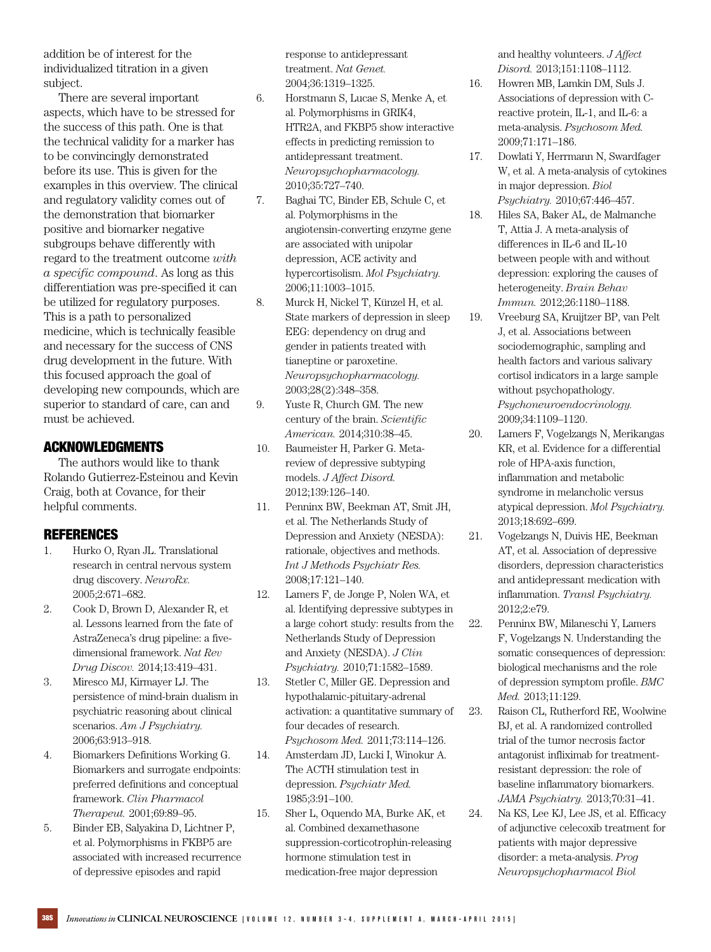addition be of interest for the individualized titration in a given subject.

There are several important aspects, which have to be stressed for the success of this path. One is that the technical validity for a marker has to be convincingly demonstrated before its use. This is given for the examples in this overview. The clinical and regulatory validity comes out of the demonstration that biomarker positive and biomarker negative subgroups behave differently with regard to the treatment outcome *with a specific compound*. As long as this differentiation was pre-specified it can be utilized for regulatory purposes. This is a path to personalized medicine, which is technically feasible and necessary for the success of CNS drug development in the future. With this focused approach the goal of developing new compounds, which are superior to standard of care, can and must be achieved.

# ACKNOWLEDGMENTS

The authors would like to thank Rolando Gutierrez-Esteinou and Kevin Craig, both at Covance, for their helpful comments.

## REFERENCES

- 1. Hurko O, Ryan JL. Translational research in central nervous system drug discovery. *NeuroRx.* 2005;2:671–682.
- 2. Cook D, Brown D, Alexander R, et al. Lessons learned from the fate of AstraZeneca's drug pipeline: a fivedimensional framework. *Nat Rev Drug Discov.* 2014;13:419–431.
- 3. Miresco MJ, Kirmayer LJ. The persistence of mind-brain dualism in psychiatric reasoning about clinical scenarios. *Am J Psychiatry.* 2006;63:913–918.
- 4. Biomarkers Definitions Working G. Biomarkers and surrogate endpoints: preferred definitions and conceptual framework. *Clin Pharmacol Therapeut.* 2001;69:89–95.
- 5. Binder EB, Salyakina D, Lichtner P, et al. Polymorphisms in FKBP5 are associated with increased recurrence of depressive episodes and rapid

response to antidepressant treatment. *Nat Genet.* 2004;36:1319–1325.

- 6. Horstmann S, Lucae S, Menke A, et al. Polymorphisms in GRIK4, HTR2A, and FKBP5 show interactive effects in predicting remission to antidepressant treatment. *Neuropsychopharmacology.* 2010;35:727–740.
- 7. Baghai TC, Binder EB, Schule C, et al. Polymorphisms in the angiotensin-converting enzyme gene are associated with unipolar depression, ACE activity and hypercortisolism. *Mol Psychiatry.* 2006;11:1003–1015.
- 8. Murck H, Nickel T, Künzel H, et al. State markers of depression in sleep EEG: dependency on drug and gender in patients treated with tianeptine or paroxetine. *Neuropsychopharmacology.* 2003;28(2):348–358.
- 9. Yuste R, Church GM. The new century of the brain. *Scientific American.* 2014;310:38–45.
- 10. Baumeister H, Parker G. Metareview of depressive subtyping models. *J Affect Disord.* 2012;139:126–140.
- 11. Penninx BW, Beekman AT, Smit JH, et al. The Netherlands Study of Depression and Anxiety (NESDA): rationale, objectives and methods. *Int J Methods Psychiatr Res.* 2008;17:121–140.
- 12. Lamers F, de Jonge P, Nolen WA, et al. Identifying depressive subtypes in a large cohort study: results from the Netherlands Study of Depression and Anxiety (NESDA). *J Clin Psychiatry.* 2010;71:1582–1589.
- 13. Stetler C, Miller GE. Depression and hypothalamic-pituitary-adrenal activation: a quantitative summary of four decades of research. *Psychosom Med.* 2011;73:114–126.
- 14. Amsterdam JD, Lucki I, Winokur A. The ACTH stimulation test in depression. *Psychiatr Med.* 1985;3:91–100.
- 15. Sher L, Oquendo MA, Burke AK, et al. Combined dexamethasone suppression-corticotrophin-releasing hormone stimulation test in medication-free major depression

and healthy volunteers. *J Affect Disord.* 2013;151:1108–1112.

- 16. Howren MB, Lamkin DM, Suls J. Associations of depression with Creactive protein, IL-1, and IL-6: a meta-analysis. *Psychosom Med.* 2009;71:171–186.
- 17. Dowlati Y, Herrmann N, Swardfager W, et al. A meta-analysis of cytokines in major depression. *Biol Psychiatry.* 2010;67:446–457.
- 18. Hiles SA, Baker AL, de Malmanche T, Attia J. A meta-analysis of differences in IL-6 and IL-10 between people with and without depression: exploring the causes of heterogeneity. *Brain Behav Immun.* 2012;26:1180–1188.
- 19. Vreeburg SA, Kruijtzer BP, van Pelt J, et al. Associations between sociodemographic, sampling and health factors and various salivary cortisol indicators in a large sample without psychopathology. *Psychoneuroendocrinology.* 2009;34:1109–1120.
- 20. Lamers F, Vogelzangs N, Merikangas KR, et al. Evidence for a differential role of HPA-axis function, inflammation and metabolic syndrome in melancholic versus atypical depression. *Mol Psychiatry.* 2013;18:692–699.
- 21. Vogelzangs N, Duivis HE, Beekman AT, et al. Association of depressive disorders, depression characteristics and antidepressant medication with inflammation. *Transl Psychiatry.* 2012;2:e79.
- 22. Penninx BW, Milaneschi Y, Lamers F, Vogelzangs N. Understanding the somatic consequences of depression: biological mechanisms and the role of depression symptom profile. *BMC Med.* 2013;11:129.
- 23. Raison CL, Rutherford RE, Woolwine BJ, et al. A randomized controlled trial of the tumor necrosis factor antagonist infliximab for treatmentresistant depression: the role of baseline inflammatory biomarkers. *JAMA Psychiatry.* 2013;70:31–41.
- 24. Na KS, Lee KJ, Lee JS, et al. Efficacy of adjunctive celecoxib treatment for patients with major depressive disorder: a meta-analysis. *Prog Neuropsychopharmacol Biol*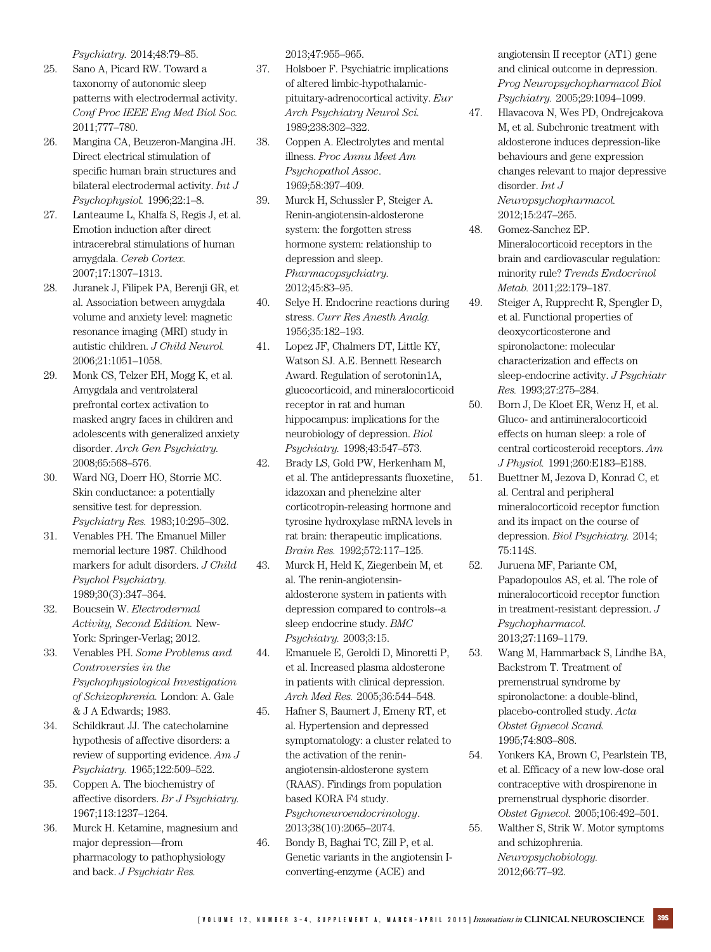*Psychiatry.* 2014;48:79–85.

- 25. Sano A, Picard RW. Toward a taxonomy of autonomic sleep patterns with electrodermal activity. *Conf Proc IEEE Eng Med Biol Soc.* 2011;777–780.
- 26. Mangina CA, Beuzeron-Mangina JH. Direct electrical stimulation of specific human brain structures and bilateral electrodermal activity. *Int J Psychophysiol.* 1996;22:1–8.
- 27. Lanteaume L, Khalfa S, Regis J, et al. Emotion induction after direct intracerebral stimulations of human amygdala. *Cereb Cortex.* 2007;17:1307–1313.
- 28. Juranek J, Filipek PA, Berenji GR, et al. Association between amygdala volume and anxiety level: magnetic resonance imaging (MRI) study in autistic children. *J Child Neurol.* 2006;21:1051–1058.
- 29. Monk CS, Telzer EH, Mogg K, et al. Amygdala and ventrolateral prefrontal cortex activation to masked angry faces in children and adolescents with generalized anxiety disorder. *Arch Gen Psychiatry.* 2008;65:568–576.
- 30. Ward NG, Doerr HO, Storrie MC. Skin conductance: a potentially sensitive test for depression. *Psychiatry Res.* 1983;10:295–302.
- 31. Venables PH. The Emanuel Miller memorial lecture 1987. Childhood markers for adult disorders. *J Child Psychol Psychiatry.* 1989;30(3):347–364.
- 32. Boucsein W. *Electrodermal Activity, Second Edition.* New-York: Springer-Verlag; 2012.
- 33. Venables PH. *Some Problems and Controversies in the Psychophysiological Investigation of Schizophrenia.* London: A. Gale & J A Edwards; 1983.
- 34. Schildkraut JJ. The catecholamine hypothesis of affective disorders: a review of supporting evidence. *Am J Psychiatry.* 1965;122:509–522.
- 35. Coppen A. The biochemistry of affective disorders. *Br J Psychiatry.* 1967;113:1237–1264.
- 36. Murck H. Ketamine, magnesium and major depression—from pharmacology to pathophysiology and back. *J Psychiatr Res.*

2013;47:955–965.

- 37. Holsboer F. Psychiatric implications of altered limbic-hypothalamicpituitary-adrenocortical activity. *Eur Arch Psychiatry Neurol Sci.* 1989;238:302–322.
- 38. Coppen A. Electrolytes and mental illness. *Proc Annu Meet Am Psychopathol Assoc*. 1969;58:397–409.
- 39. Murck H, Schussler P, Steiger A. Renin-angiotensin-aldosterone system: the forgotten stress hormone system: relationship to depression and sleep. *Pharmacopsychiatry.* 2012;45:83–95.
- 40. Selye H. Endocrine reactions during stress. *Curr Res Anesth Analg.* 1956;35:182–193.
- 41. Lopez JF, Chalmers DT, Little KY, Watson SJ. A.E. Bennett Research Award. Regulation of serotonin1A, glucocorticoid, and mineralocorticoid receptor in rat and human hippocampus: implications for the neurobiology of depression. *Biol Psychiatry.* 1998;43:547–573.
- 42. Brady LS, Gold PW, Herkenham M, et al. The antidepressants fluoxetine, idazoxan and phenelzine alter corticotropin-releasing hormone and tyrosine hydroxylase mRNA levels in rat brain: therapeutic implications. *Brain Res.* 1992;572:117–125.
- 43. Murck H, Held K, Ziegenbein M, et al. The renin-angiotensinaldosterone system in patients with depression compared to controls--a sleep endocrine study. *BMC Psychiatry.* 2003;3:15.
- 44. Emanuele E, Geroldi D, Minoretti P, et al. Increased plasma aldosterone in patients with clinical depression. *Arch Med Res.* 2005;36:544–548.
- 45. Hafner S, Baumert J, Emeny RT, et al. Hypertension and depressed symptomatology: a cluster related to the activation of the reninangiotensin-aldosterone system (RAAS). Findings from population based KORA F4 study. *Psychoneuroendocrinology*. 2013;38(10):2065–2074.
- 46. Bondy B, Baghai TC, Zill P, et al. Genetic variants in the angiotensin Iconverting-enzyme (ACE) and

angiotensin II receptor (AT1) gene and clinical outcome in depression. *Prog Neuropsychopharmacol Biol Psychiatry.* 2005;29:1094–1099.

- 47. Hlavacova N, Wes PD, Ondrejcakova M, et al. Subchronic treatment with aldosterone induces depression-like behaviours and gene expression changes relevant to major depressive disorder. *Int J Neuropsychopharmacol.* 2012;15:247–265.
- 48. Gomez-Sanchez EP. Mineralocorticoid receptors in the brain and cardiovascular regulation: minority rule? *Trends Endocrinol Metab.* 2011;22:179–187.
- 49. Steiger A, Rupprecht R, Spengler D, et al. Functional properties of deoxycorticosterone and spironolactone: molecular characterization and effects on sleep-endocrine activity. *J Psychiatr Res.* 1993;27:275–284.
- 50. Born J, De Kloet ER, Wenz H, et al. Gluco- and antimineralocorticoid effects on human sleep: a role of central corticosteroid receptors. *Am J Physiol.* 1991;260:E183–E188.
- 51. Buettner M, Jezova D, Konrad C, et al. Central and peripheral mineralocorticoid receptor function and its impact on the course of depression. *Biol Psychiatry.* 2014; 75:114S.
- 52. Juruena MF, Pariante CM, Papadopoulos AS, et al. The role of mineralocorticoid receptor function in treatment-resistant depression. *J Psychopharmacol.* 2013;27:1169–1179.
- 53. Wang M, Hammarback S, Lindhe BA, Backstrom T. Treatment of premenstrual syndrome by spironolactone: a double-blind, placebo-controlled study. *Acta Obstet Gynecol Scand.* 1995;74:803–808.
- 54. Yonkers KA, Brown C, Pearlstein TB, et al. Efficacy of a new low-dose oral contraceptive with drospirenone in premenstrual dysphoric disorder. *Obstet Gynecol.* 2005;106:492–501.
- 55. Walther S, Strik W. Motor symptoms and schizophrenia. *Neuropsychobiology.* 2012;66:77–92.